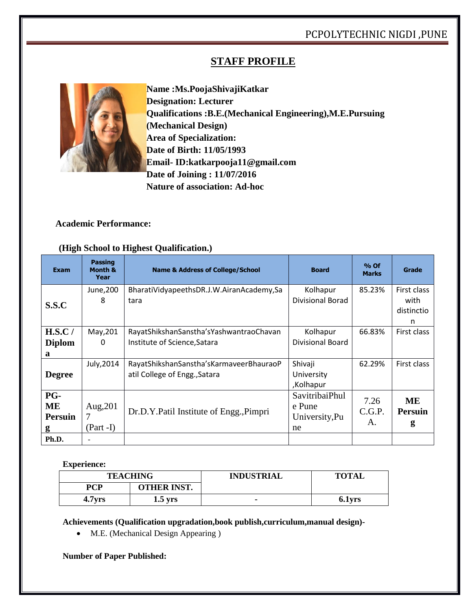# **STAFF PROFILE**



**Name :Ms.PoojaShivajiKatkar Designation: Lecturer Qualifications :B.E.(Mechanical Engineering),M.E.Pursuing (Mechanical Design) Area of Specialization: Date of Birth: 11/05/1993 Email- ID:katkarpooja11@gmail.com Date of Joining : 11/07/2016 Nature of association: Ad-hoc**

# **Academic Performance:**

#### **Exam Passing Month & Year Name & Address of College/School <b>Board Board Board Marke Marks Grade S.S.C** June,200 8 BharatiVidyapeethsDR.J.W.AiranAcademy,Sa tara Kolhapur Divisional Borad 85.23% First class with distinctio n **H.S.C / Diplom a** May,201  $\Omega$ RayatShikshanSanstha'sYashwantraoChavan Institute of Science,Satara Kolhapur Divisional Board 66.83% First class **Degree** July,2014 RayatShikshanSanstha'sKarmaveerBhauraoP atil College of Engg.,Satara Shivaji University ,Kolhapur 62.29% First class **PG-ME Persuin g** Aug,201 7 (Part -I) Dr.D.Y.Patil Institute of Engg.,Pimpri SavitribaiPhul e Pune University,Pu ne 7.26 C.G.P. A. **ME Persuin g Ph.D.**

## **(High School to Highest Qualification.)**

### **Experience:**

| <b>TEACHING</b>    |                    | <b>INDUSTRIAL</b> | <b>TOTAL</b> |
|--------------------|--------------------|-------------------|--------------|
| PCP                | <b>OTHER INST.</b> |                   |              |
| 4.7 <sub>yrs</sub> | $1.5$ yrs          |                   | 6.1yrs       |

**Achievements (Qualification upgradation,book publish,curriculum,manual design)-**

• M.E. (Mechanical Design Appearing)

### **Number of Paper Published:**